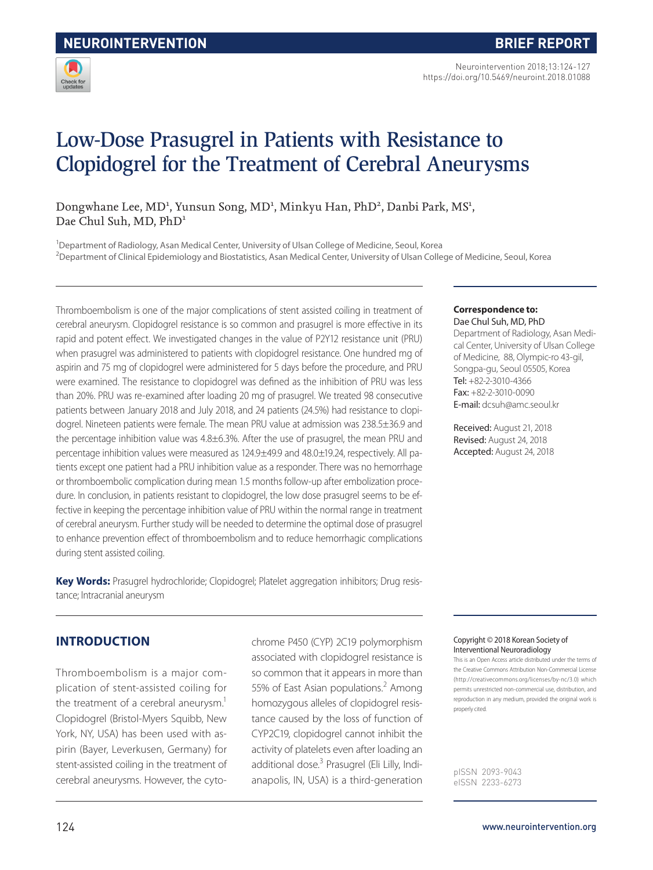

Neurointervention 2018;13:124-127 https://doi.org/10.5469/neuroint.2018.01088

# Low-Dose Prasugrel in Patients with Resistance to Clopidogrel for the Treatment of Cerebral Aneurysms

Dongwhane Lee, MD<sup>1</sup>, Yunsun Song, MD<sup>1</sup>, Minkyu Han, PhD<sup>2</sup>, Danbi Park, MS<sup>1</sup>, Dae Chul Suh, MD, PhD<sup>1</sup>

<sup>1</sup>Department of Radiology, Asan Medical Center, University of Ulsan College of Medicine, Seoul, Korea <sup>2</sup>Department of Clinical Epidemiology and Biostatistics, Asan Medical Center, University of Ulsan College of Medicine, Seoul, Korea

Thromboembolism is one of the major complications of stent assisted coiling in treatment of cerebral aneurysm. Clopidogrel resistance is so common and prasugrel is more effective in its rapid and potent effect. We investigated changes in the value of P2Y12 resistance unit (PRU) when prasugrel was administered to patients with clopidogrel resistance. One hundred mg of aspirin and 75 mg of clopidogrel were administered for 5 days before the procedure, and PRU were examined. The resistance to clopidogrel was defined as the inhibition of PRU was less than 20%. PRU was re-examined after loading 20 mg of prasugrel. We treated 98 consecutive patients between January 2018 and July 2018, and 24 patients (24.5%) had resistance to clopidogrel. Nineteen patients were female. The mean PRU value at admission was 238.5±36.9 and the percentage inhibition value was 4.8±6.3%. After the use of prasugrel, the mean PRU and percentage inhibition values were measured as 124.9±49.9 and 48.0±19.24, respectively. All patients except one patient had a PRU inhibition value as a responder. There was no hemorrhage or thromboembolic complication during mean 1.5 months follow-up after embolization procedure. In conclusion, in patients resistant to clopidogrel, the low dose prasugrel seems to be effective in keeping the percentage inhibition value of PRU within the normal range in treatment of cerebral aneurysm. Further study will be needed to determine the optimal dose of prasugrel to enhance prevention effect of thromboembolism and to reduce hemorrhagic complications during stent assisted coiling.

**Key Words:** Prasugrel hydrochloride; Clopidogrel; Platelet aggregation inhibitors; Drug resistance; Intracranial aneurysm

## **INTRODUCTION**

Thromboembolism is a major complication of stent-assisted coiling for the treatment of a cerebral aneurysm.<sup>1</sup> Clopidogrel (Bristol-Myers Squibb, New York, NY, USA) has been used with aspirin (Bayer, Leverkusen, Germany) for stent-assisted coiling in the treatment of cerebral aneurysms. However, the cytochrome P450 (CYP) 2C19 polymorphism associated with clopidogrel resistance is so common that it appears in more than 55% of East Asian populations.<sup>2</sup> Among homozygous alleles of clopidogrel resistance caused by the loss of function of CYP2C19, clopidogrel cannot inhibit the activity of platelets even after loading an additional dose.<sup>3</sup> Prasugrel (Eli Lilly, Indianapolis, IN, USA) is a third-generation

#### **Correspondence to:**

Dae Chul Suh, MD, PhD Department of Radiology, Asan Medical Center, University of Ulsan College of Medicine, 88, Olympic-ro 43-gil, Songpa-gu, Seoul 05505, Korea Tel: +82-2-3010-4366 Fax: +82-2-3010-0090 E-mail: dcsuh@amc.seoul.kr

Received: August 21, 2018 Revised: August 24, 2018 Accepted: August 24, 2018

#### Copyright © 2018 Korean Society of Interventional Neuroradiology

This is an Open Access article distributed under the terms of the Creative Commons Attribution Non-Commercial License (http://creativecommons.org/licenses/by-nc/3.0) which permits unrestricted non-commercial use, distribution, and reproduction in any medium, provided the original work is properly cited.

pISSN 2093-9043 eISSN 2233-6273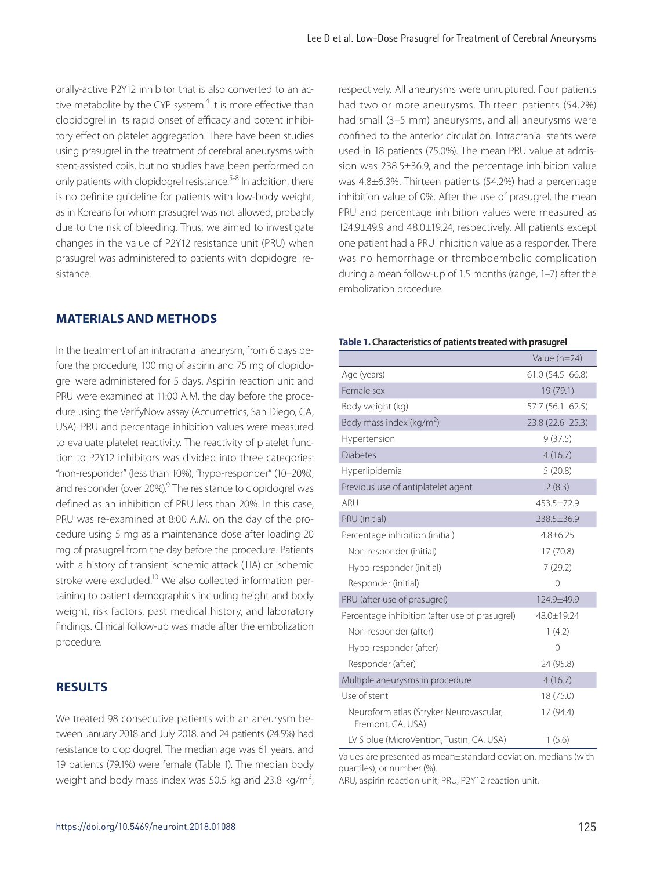orally-active P2Y12 inhibitor that is also converted to an active metabolite by the CYP system.<sup>4</sup> It is more effective than clopidogrel in its rapid onset of efficacy and potent inhibitory effect on platelet aggregation. There have been studies using prasugrel in the treatment of cerebral aneurysms with stent-assisted coils, but no studies have been performed on only patients with clopidogrel resistance.5-8 In addition, there is no definite guideline for patients with low-body weight, as in Koreans for whom prasugrel was not allowed, probably due to the risk of bleeding. Thus, we aimed to investigate changes in the value of P2Y12 resistance unit (PRU) when prasugrel was administered to patients with clopidogrel resistance.

#### **MATERIALS AND METHODS**

In the treatment of an intracranial aneurysm, from 6 days before the procedure, 100 mg of aspirin and 75 mg of clopidogrel were administered for 5 days. Aspirin reaction unit and PRU were examined at 11:00 A.M. the day before the procedure using the VerifyNow assay (Accumetrics, San Diego, CA, USA). PRU and percentage inhibition values were measured to evaluate platelet reactivity. The reactivity of platelet function to P2Y12 inhibitors was divided into three categories: "non-responder" (less than 10%), "hypo-responder" (10–20%), and responder (over 20%).<sup>9</sup> The resistance to clopidogrel was defined as an inhibition of PRU less than 20%. In this case, PRU was re-examined at 8:00 A.M. on the day of the procedure using 5 mg as a maintenance dose after loading 20 mg of prasugrel from the day before the procedure. Patients with a history of transient ischemic attack (TIA) or ischemic stroke were excluded.<sup>10</sup> We also collected information pertaining to patient demographics including height and body weight, risk factors, past medical history, and laboratory findings. Clinical follow-up was made after the embolization procedure.

## **RESULTS**

We treated 98 consecutive patients with an aneurysm between January 2018 and July 2018, and 24 patients (24.5%) had resistance to clopidogrel. The median age was 61 years, and 19 patients (79.1%) were female (Table 1). The median body weight and body mass index was 50.5 kg and 23.8 kg/m<sup>2</sup>, respectively. All aneurysms were unruptured. Four patients had two or more aneurysms. Thirteen patients (54.2%) had small (3–5 mm) aneurysms, and all aneurysms were confined to the anterior circulation. Intracranial stents were used in 18 patients (75.0%). The mean PRU value at admission was 238.5±36.9, and the percentage inhibition value was 4.8±6.3%. Thirteen patients (54.2%) had a percentage inhibition value of 0%. After the use of prasugrel, the mean PRU and percentage inhibition values were measured as 124.9±49.9 and 48.0±19.24, respectively. All patients except one patient had a PRU inhibition value as a responder. There was no hemorrhage or thromboembolic complication during a mean follow-up of 1.5 months (range, 1–7) after the embolization procedure.

#### **Table 1. Characteristics of patients treated with prasugrel**

|                                                              | Value $(n=24)$      |
|--------------------------------------------------------------|---------------------|
| Age (years)                                                  | $61.0(54.5 - 66.8)$ |
| Female sex                                                   | 19 (79.1)           |
| Body weight (kg)                                             | $57.7(56.1 - 62.5)$ |
| Body mass index (kg/m <sup>2</sup> )                         | 23.8 (22.6-25.3)    |
| Hypertension                                                 | 9(37.5)             |
| <b>Diabetes</b>                                              | 4(16.7)             |
| Hyperlipidemia                                               | 5(20.8)             |
| Previous use of antiplatelet agent                           | 2(8.3)              |
| ARU                                                          | 453.5±72.9          |
| PRU (initial)                                                | 238.5±36.9          |
| Percentage inhibition (initial)                              | $4.8 + 6.25$        |
| Non-responder (initial)                                      | 17(70.8)            |
| Hypo-responder (initial)                                     | 7(29.2)             |
| Responder (initial)                                          | $\Omega$            |
| PRU (after use of prasugrel)                                 | 124.9±49.9          |
| Percentage inhibition (after use of prasugrel)               | 48.0±19.24          |
| Non-responder (after)                                        | 1(4.2)              |
| Hypo-responder (after)                                       | $\Omega$            |
| Responder (after)                                            | 24 (95.8)           |
| Multiple aneurysms in procedure                              | 4(16.7)             |
| Use of stent                                                 | 18 (75.0)           |
| Neuroform atlas (Stryker Neurovascular,<br>Fremont, CA, USA) | 17 (94.4)           |
| LVIS blue (MicroVention, Tustin, CA, USA)                    | 1(5.6)              |

Values are presented as mean±standard deviation, medians (with quartiles), or number (%).

ARU, aspirin reaction unit; PRU, P2Y12 reaction unit.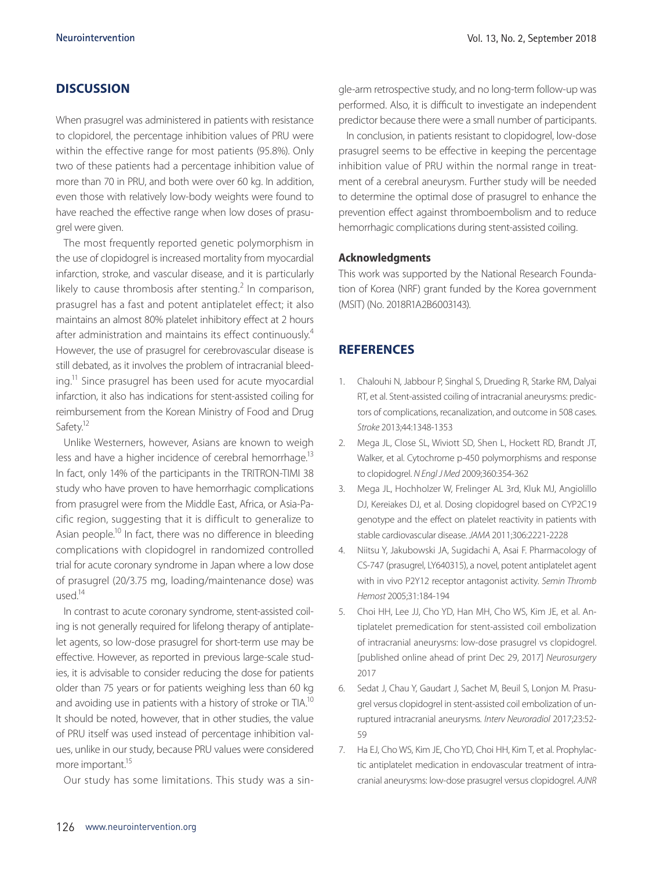# **DISCUSSION**

When prasugrel was administered in patients with resistance to clopidorel, the percentage inhibition values of PRU were within the effective range for most patients (95.8%). Only two of these patients had a percentage inhibition value of more than 70 in PRU, and both were over 60 kg. In addition, even those with relatively low-body weights were found to have reached the effective range when low doses of prasugrel were given.

The most frequently reported genetic polymorphism in the use of clopidogrel is increased mortality from myocardial infarction, stroke, and vascular disease, and it is particularly likely to cause thrombosis after stenting.<sup>2</sup> In comparison, prasugrel has a fast and potent antiplatelet effect; it also maintains an almost 80% platelet inhibitory effect at 2 hours after administration and maintains its effect continuously.<sup>4</sup> However, the use of prasugrel for cerebrovascular disease is still debated, as it involves the problem of intracranial bleeding.11 Since prasugrel has been used for acute myocardial infarction, it also has indications for stent-assisted coiling for reimbursement from the Korean Ministry of Food and Drug Safety.<sup>12</sup>

Unlike Westerners, however, Asians are known to weigh less and have a higher incidence of cerebral hemorrhage.<sup>13</sup> In fact, only 14% of the participants in the TRITRON-TIMI 38 study who have proven to have hemorrhagic complications from prasugrel were from the Middle East, Africa, or Asia-Pacific region, suggesting that it is difficult to generalize to Asian people.<sup>10</sup> In fact, there was no difference in bleeding complications with clopidogrel in randomized controlled trial for acute coronary syndrome in Japan where a low dose of prasugrel (20/3.75 mg, loading/maintenance dose) was  $\overline{11}$ sed<sup>14</sup>

In contrast to acute coronary syndrome, stent-assisted coiling is not generally required for lifelong therapy of antiplatelet agents, so low-dose prasugrel for short-term use may be effective. However, as reported in previous large-scale studies, it is advisable to consider reducing the dose for patients older than 75 years or for patients weighing less than 60 kg and avoiding use in patients with a history of stroke or TIA.<sup>10</sup> It should be noted, however, that in other studies, the value of PRU itself was used instead of percentage inhibition values, unlike in our study, because PRU values were considered more important.<sup>15</sup>

Our study has some limitations. This study was a sin-

gle-arm retrospective study, and no long-term follow-up was performed. Also, it is difficult to investigate an independent predictor because there were a small number of participants.

In conclusion, in patients resistant to clopidogrel, low-dose prasugrel seems to be effective in keeping the percentage inhibition value of PRU within the normal range in treatment of a cerebral aneurysm. Further study will be needed to determine the optimal dose of prasugrel to enhance the prevention effect against thromboembolism and to reduce hemorrhagic complications during stent-assisted coiling.

#### **Acknowledgments**

This work was supported by the National Research Foundation of Korea (NRF) grant funded by the Korea government (MSIT) (No. 2018R1A2B6003143).

#### **REFERENCES**

- 1. Chalouhi N, Jabbour P, Singhal S, Drueding R, Starke RM, Dalyai RT, et al. Stent-assisted coiling of intracranial aneurysms: predictors of complications, recanalization, and outcome in 508 cases. *Stroke* 2013;44:1348-1353
- 2. Mega JL, Close SL, Wiviott SD, Shen L, Hockett RD, Brandt JT, Walker, et al. Cytochrome p-450 polymorphisms and response to clopidogrel. *N Engl J Med* 2009;360:354-362
- 3. Mega JL, Hochholzer W, Frelinger AL 3rd, Kluk MJ, Angiolillo DJ, Kereiakes DJ, et al. Dosing clopidogrel based on CYP2C19 genotype and the effect on platelet reactivity in patients with stable cardiovascular disease. *JAMA* 2011;306:2221-2228
- 4. Niitsu Y, Jakubowski JA, Sugidachi A, Asai F. Pharmacology of CS-747 (prasugrel, LY640315), a novel, potent antiplatelet agent with in vivo P2Y12 receptor antagonist activity. *Semin Thromb Hemost* 2005;31:184-194
- 5. Choi HH, Lee JJ, Cho YD, Han MH, Cho WS, Kim JE, et al. Antiplatelet premedication for stent-assisted coil embolization of intracranial aneurysms: low-dose prasugrel vs clopidogrel. [published online ahead of print Dec 29, 2017] *Neurosurgery* 2017
- 6. Sedat J, Chau Y, Gaudart J, Sachet M, Beuil S, Lonjon M. Prasugrel versus clopidogrel in stent-assisted coil embolization of unruptured intracranial aneurysms. *Interv Neuroradiol* 2017;23:52- 59
- 7. Ha EJ, Cho WS, Kim JE, Cho YD, Choi HH, Kim T, et al. Prophylactic antiplatelet medication in endovascular treatment of intracranial aneurysms: low-dose prasugrel versus clopidogrel. *AJNR*